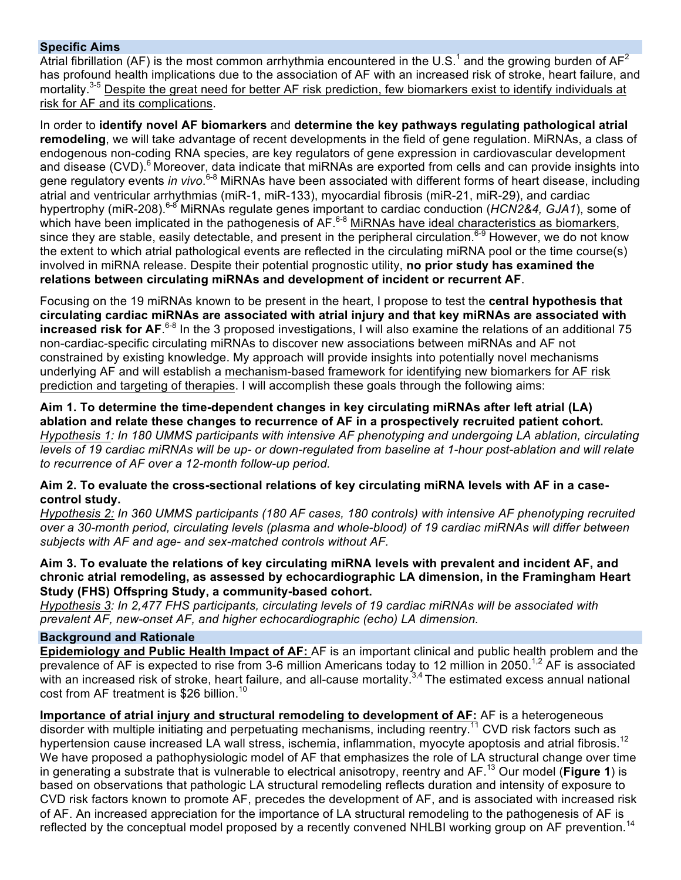## **Specific Aims**

Atrial fibrillation (AF) is the most common arrhythmia encountered in the U.S.<sup>1</sup> and the growing burden of  $AF^2$ has profound health implications due to the association of AF with an increased risk of stroke, heart failure, and mortality.<sup>3-5</sup> Despite the great need for better AF risk prediction, few biomarkers exist to identify individuals at risk for AF and its complications.

In order to **identify novel AF biomarkers** and **determine the key pathways regulating pathological atrial remodeling**, we will take advantage of recent developments in the field of gene regulation. MiRNAs, a class of endogenous non-coding RNA species, are key regulators of gene expression in cardiovascular development and disease (CVD).<sup>6</sup> Moreover, data indicate that miRNAs are exported from cells and can provide insights into gene regulatory events *in vivo*.<sup>6-8</sup> MiRNAs have been associated with different forms of heart disease, including atrial and ventricular arrhythmias (miR-1, miR-133), myocardial fibrosis (miR-21, miR-29), and cardiac hypertrophy (miR-208).<sup>6-8</sup> MiRNAs regulate genes important to cardiac conduction (*HCN2&4, GJA1*), some of which have been implicated in the pathogenesis of AF.<sup>6-8</sup> MiRNAs have ideal characteristics as biomarkers, since they are stable, easily detectable, and present in the peripheral circulation.<sup>6-9</sup> However, we do not know the extent to which atrial pathological events are reflected in the circulating miRNA pool or the time course(s) involved in miRNA release. Despite their potential prognostic utility, **no prior study has examined the relations between circulating miRNAs and development of incident or recurrent AF**.

Focusing on the 19 miRNAs known to be present in the heart, I propose to test the **central hypothesis that circulating cardiac miRNAs are associated with atrial injury and that key miRNAs are associated with increased risk for AF**. 6-8 In the 3 proposed investigations, I will also examine the relations of an additional 75 non-cardiac-specific circulating miRNAs to discover new associations between miRNAs and AF not constrained by existing knowledge. My approach will provide insights into potentially novel mechanisms underlying AF and will establish a mechanism-based framework for identifying new biomarkers for AF risk prediction and targeting of therapies. I will accomplish these goals through the following aims:

**Aim 1. To determine the time-dependent changes in key circulating miRNAs after left atrial (LA) ablation and relate these changes to recurrence of AF in a prospectively recruited patient cohort.** *Hypothesis 1: In 180 UMMS participants with intensive AF phenotyping and undergoing LA ablation, circulating levels of 19 cardiac miRNAs will be up- or down-regulated from baseline at 1-hour post-ablation and will relate to recurrence of AF over a 12-month follow-up period.*

## **Aim 2. To evaluate the cross-sectional relations of key circulating miRNA levels with AF in a casecontrol study.**

*Hypothesis 2: In 360 UMMS participants (180 AF cases, 180 controls) with intensive AF phenotyping recruited over a 30-month period, circulating levels (plasma and whole-blood) of 19 cardiac miRNAs will differ between subjects with AF and age- and sex-matched controls without AF.*

## **Aim 3. To evaluate the relations of key circulating miRNA levels with prevalent and incident AF, and chronic atrial remodeling, as assessed by echocardiographic LA dimension, in the Framingham Heart Study (FHS) Offspring Study, a community-based cohort.**

*Hypothesis 3: In 2,477 FHS participants, circulating levels of 19 cardiac miRNAs will be associated with prevalent AF, new-onset AF, and higher echocardiographic (echo) LA dimension.*

#### **Background and Rationale**

**Epidemiology and Public Health Impact of AF:** AF is an important clinical and public health problem and the prevalence of AF is expected to rise from 3-6 million Americans today to 12 million in 2050.<sup>1,2</sup> AF is associated with an increased risk of stroke, heart failure, and all-cause mortality.<sup>3,4</sup> The estimated excess annual national cost from AF treatment is \$26 billion.<sup>10</sup>

**Importance of atrial injury and structural remodeling to development of AF:** AF is a heterogeneous disorder with multiple initiating and perpetuating mechanisms, including reentry.<sup>11</sup> CVD risk factors such as hypertension cause increased LA wall stress, ischemia, inflammation, myocyte apoptosis and atrial fibrosis.<sup>12</sup> We have proposed a pathophysiologic model of AF that emphasizes the role of LA structural change over time in generating a substrate that is vulnerable to electrical anisotropy, reentry and AF. <sup>13</sup> Our model (**Figure 1**) is based on observations that pathologic LA structural remodeling reflects duration and intensity of exposure to CVD risk factors known to promote AF, precedes the development of AF, and is associated with increased risk of AF. An increased appreciation for the importance of LA structural remodeling to the pathogenesis of AF is reflected by the conceptual model proposed by a recently convened NHLBI working group on AF prevention.<sup>14</sup>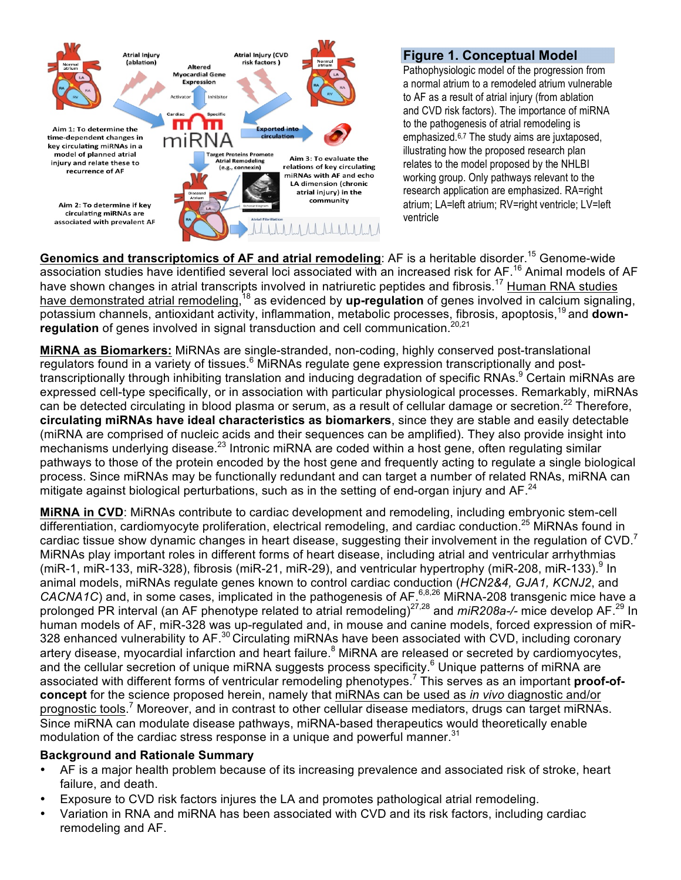

# **Figure 1. Conceptual Model**

Pathophysiologic model of the progression from a normal atrium to a remodeled atrium vulnerable to AF as a result of atrial injury (from ablation and CVD risk factors). The importance of miRNA to the pathogenesis of atrial remodeling is emphasized.6,7 The study aims are juxtaposed, illustrating how the proposed research plan relates to the model proposed by the NHLBI working group. Only pathways relevant to the research application are emphasized. RA=right atrium; LA=left atrium; RV=right ventricle; LV=left ventricle

**Genomics and transcriptomics of AF and atrial remodeling:** AF is a heritable disorder.<sup>15</sup> Genome-wide association studies have identified several loci associated with an increased risk for AF.<sup>16</sup> Animal models of AF have shown changes in atrial transcripts involved in natriuretic peptides and fibrosis.<sup>17</sup> Human RNA studies have demonstrated atrial remodeling, <sup>18</sup> as evidenced by **up-regulation** of genes involved in calcium signaling, potassium channels, antioxidant activity, inflammation, metabolic processes, fibrosis, apoptosis,<sup>19</sup> and **down**regulation of genes involved in signal transduction and cell communication.<sup>20,21</sup>

**MiRNA as Biomarkers:** MiRNAs are single-stranded, non-coding, highly conserved post-translational regulators found in a variety of tissues.<sup>6</sup> MiRNAs regulate gene expression transcriptionally and posttranscriptionally through inhibiting translation and inducing degradation of specific RNAs.<sup>9</sup> Certain miRNAs are expressed cell-type specifically, or in association with particular physiological processes. Remarkably, miRNAs can be detected circulating in blood plasma or serum, as a result of cellular damage or secretion.<sup>22</sup> Therefore, **circulating miRNAs have ideal characteristics as biomarkers**, since they are stable and easily detectable (miRNA are comprised of nucleic acids and their sequences can be amplified). They also provide insight into mechanisms underlying disease.<sup>23</sup> Intronic miRNA are coded within a host gene, often regulating similar pathways to those of the protein encoded by the host gene and frequently acting to regulate a single biological process. Since miRNAs may be functionally redundant and can target a number of related RNAs, miRNA can mitigate against biological perturbations, such as in the setting of end-organ injury and AF.<sup>24</sup>

**MiRNA in CVD**: MiRNAs contribute to cardiac development and remodeling, including embryonic stem-cell differentiation, cardiomyocyte proliferation, electrical remodeling, and cardiac conduction.<sup>25</sup> MiRNAs found in cardiac tissue show dynamic changes in heart disease, suggesting their involvement in the regulation of  $CVD$ . MiRNAs play important roles in different forms of heart disease, including atrial and ventricular arrhythmias (miR-1, miR-133, miR-328), fibrosis (miR-21, miR-29), and ventricular hypertrophy (miR-208, miR-133).  $\frac{9}{1}$  In animal models, miRNAs regulate genes known to control cardiac conduction (*HCN2&4, GJA1, KCNJ2*, and CACNA1C) and, in some cases, implicated in the pathogenesis of AF.<sup>6,8,26</sup> MiRNA-208 transgenic mice have a prolonged PR interval (an AF phenotype related to atrial remodeling)27,28 and *miR208a-/-* mice develop AF.<sup>29</sup> In human models of AF, miR-328 was up-regulated and, in mouse and canine models, forced expression of miR-328 enhanced vulnerability to AF.<sup>30</sup> Circulating miRNAs have been associated with CVD, including coronary artery disease, myocardial infarction and heart failure.<sup>8</sup> MiRNA are released or secreted by cardiomyocytes, and the cellular secretion of unique miRNA suggests process specificity.<sup>6</sup> Unique patterns of miRNA are associated with different forms of ventricular remodeling phenotypes.<sup>7</sup> This serves as an important **proof-ofconcept** for the science proposed herein, namely that miRNAs can be used as *in vivo* diagnostic and/or prognostic tools.<sup>7</sup> Moreover, and in contrast to other cellular disease mediators, drugs can target miRNAs. Since miRNA can modulate disease pathways, miRNA-based therapeutics would theoretically enable modulation of the cardiac stress response in a unique and powerful manner.<sup>31</sup>

## **Background and Rationale Summary**

- AF is a major health problem because of its increasing prevalence and associated risk of stroke, heart failure, and death.
- Exposure to CVD risk factors injures the LA and promotes pathological atrial remodeling.
- Variation in RNA and miRNA has been associated with CVD and its risk factors, including cardiac remodeling and AF.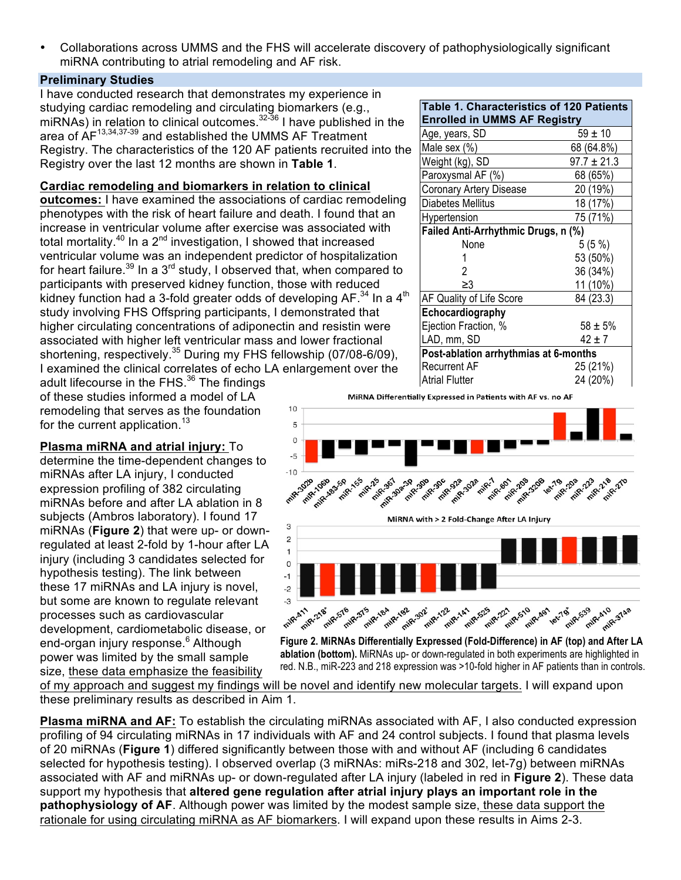• Collaborations across UMMS and the FHS will accelerate discovery of pathophysiologically significant miRNA contributing to atrial remodeling and AF risk.

## **Preliminary Studies**

I have conducted research that demonstrates my experience in studying cardiac remodeling and circulating biomarkers (e.g., miRNAs) in relation to clinical outcomes. $32-36$  I have published in the area of AF<sup>13,34,37-39</sup> and established the UMMS AF Treatment Registry. The characteristics of the 120 AF patients recruited into the Registry over the last 12 months are shown in **Table 1**.

# **Cardiac remodeling and biomarkers in relation to clinical**

**outcomes:** I have examined the associations of cardiac remodeling phenotypes with the risk of heart failure and death. I found that an increase in ventricular volume after exercise was associated with total mortality.<sup>40</sup> In a  $2^{nd}$  investigation, I showed that increased ventricular volume was an independent predictor of hospitalization for heart failure.<sup>39</sup> In a 3<sup>rd</sup> study, I observed that, when compared to participants with preserved kidney function, those with reduced kidney function had a 3-fold greater odds of developing  $AF^{34}$  In a  $4<sup>th</sup>$ study involving FHS Offspring participants, I demonstrated that higher circulating concentrations of adiponectin and resistin were associated with higher left ventricular mass and lower fractional shortening, respectively.<sup>35</sup> During my FHS fellowship (07/08-6/09), I examined the clinical correlates of echo LA enlargement over the

adult lifecourse in the FHS.<sup>36</sup> The findings of these studies informed a model of LA remodeling that serves as the foundation for the current application.<sup>13</sup>

## **Plasma miRNA and atrial injury:** To

determine the time-dependent changes to miRNAs after LA injury, I conducted expression profiling of 382 circulating miRNAs before and after LA ablation in 8 subjects (Ambros laboratory). I found 17 miRNAs (**Figure 2**) that were up- or downregulated at least 2-fold by 1-hour after LA injury (including 3 candidates selected for hypothesis testing). The link between these 17 miRNAs and LA injury is novel, but some are known to regulate relevant processes such as cardiovascular development, cardiometabolic disease, or end-organ injury response.<sup>6</sup> Although power was limited by the small sample size, these data emphasize the feasibility

| Table 1. Characteristics of 120 Patients<br><b>Enrolled in UMMS AF Registry</b> |                 |  |
|---------------------------------------------------------------------------------|-----------------|--|
| Age, years, SD                                                                  | $59 \pm 10$     |  |
| Male sex (%)                                                                    | 68 (64.8%)      |  |
| Weight (kg), SD                                                                 | $97.7 \pm 21.3$ |  |
| Paroxysmal AF (%)                                                               | 68 (65%)        |  |
| <b>Coronary Artery Disease</b>                                                  | 20 (19%)        |  |
| Diabetes Mellitus                                                               | 18 (17%)        |  |
| Hypertension                                                                    | 75 (71%)        |  |
| Failed Anti-Arrhythmic Drugs, n (%)                                             |                 |  |
| None                                                                            | 5(5%)           |  |
|                                                                                 | 53 (50%)        |  |
| 2                                                                               | 36 (34%)        |  |
| ≥3                                                                              | 11 (10%)        |  |
| AF Quality of Life Score                                                        | 84 (23.3)       |  |
| Echocardiography                                                                |                 |  |
| Ejection Fraction, %                                                            | $58 + 5%$       |  |
| LAD, mm, SD                                                                     | $42 \pm 7$      |  |
| Post-ablation arrhythmias at 6-months                                           |                 |  |
| Recurrent AF                                                                    | 25 (21%)        |  |
| Atrial Flutter                                                                  | 24 (20%)        |  |



**Figure 2. MiRNAs Differentially Expressed (Fold-Difference) in AF (top) and After LA ablation (bottom).** MiRNAs up- or down-regulated in both experiments are highlighted in red. N.B., miR-223 and 218 expression was >10-fold higher in AF patients than in controls.

of my approach and suggest my findings will be novel and identify new molecular targets. I will expand upon these preliminary results as described in Aim 1.

**Plasma miRNA and AF:** To establish the circulating miRNAs associated with AF, I also conducted expression profiling of 94 circulating miRNAs in 17 individuals with AF and 24 control subjects. I found that plasma levels of 20 miRNAs (**Figure 1**) differed significantly between those with and without AF (including 6 candidates selected for hypothesis testing). I observed overlap (3 miRNAs: miRs-218 and 302, let-7g) between miRNAs associated with AF and miRNAs up- or down-regulated after LA injury (labeled in red in **Figure 2**). These data support my hypothesis that **altered gene regulation after atrial injury plays an important role in the pathophysiology of AF**. Although power was limited by the modest sample size, these data support the rationale for using circulating miRNA as AF biomarkers. I will expand upon these results in Aims 2-3.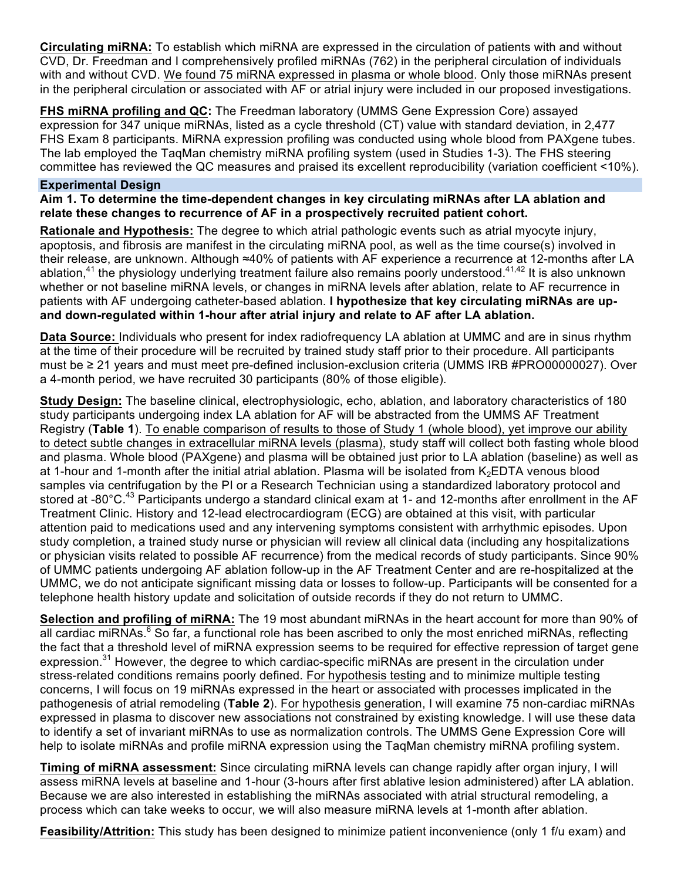**Circulating miRNA:** To establish which miRNA are expressed in the circulation of patients with and without CVD, Dr. Freedman and I comprehensively profiled miRNAs (762) in the peripheral circulation of individuals with and without CVD. We found 75 miRNA expressed in plasma or whole blood. Only those miRNAs present in the peripheral circulation or associated with AF or atrial injury were included in our proposed investigations.

**FHS miRNA profiling and QC:** The Freedman laboratory (UMMS Gene Expression Core) assayed expression for 347 unique miRNAs, listed as a cycle threshold (CT) value with standard deviation, in 2,477 FHS Exam 8 participants. MiRNA expression profiling was conducted using whole blood from PAXgene tubes. The lab employed the TaqMan chemistry miRNA profiling system (used in Studies 1-3). The FHS steering committee has reviewed the QC measures and praised its excellent reproducibility (variation coefficient <10%).

#### **Experimental Design**

**Aim 1. To determine the time-dependent changes in key circulating miRNAs after LA ablation and relate these changes to recurrence of AF in a prospectively recruited patient cohort.**

**Rationale and Hypothesis:** The degree to which atrial pathologic events such as atrial myocyte injury, apoptosis, and fibrosis are manifest in the circulating miRNA pool, as well as the time course(s) involved in their release, are unknown. Although ≈40% of patients with AF experience a recurrence at 12-months after LA ablation,<sup>41</sup> the physiology underlying treatment failure also remains poorly understood.<sup>41,42</sup> It is also unknown whether or not baseline miRNA levels, or changes in miRNA levels after ablation, relate to AF recurrence in patients with AF undergoing catheter-based ablation. **I hypothesize that key circulating miRNAs are upand down-regulated within 1-hour after atrial injury and relate to AF after LA ablation.**

**Data Source:** Individuals who present for index radiofrequency LA ablation at UMMC and are in sinus rhythm at the time of their procedure will be recruited by trained study staff prior to their procedure. All participants must be ≥ 21 years and must meet pre-defined inclusion-exclusion criteria (UMMS IRB #PRO00000027). Over a 4-month period, we have recruited 30 participants (80% of those eligible).

**Study Design:** The baseline clinical, electrophysiologic, echo, ablation, and laboratory characteristics of 180 study participants undergoing index LA ablation for AF will be abstracted from the UMMS AF Treatment Registry (**Table 1**). To enable comparison of results to those of Study 1 (whole blood), yet improve our ability to detect subtle changes in extracellular miRNA levels (plasma), study staff will collect both fasting whole blood and plasma. Whole blood (PAXgene) and plasma will be obtained just prior to LA ablation (baseline) as well as at 1-hour and 1-month after the initial atrial ablation. Plasma will be isolated from K<sub>2</sub>EDTA venous blood samples via centrifugation by the PI or a Research Technician using a standardized laboratory protocol and stored at -80°C.<sup>43</sup> Participants undergo a standard clinical exam at 1- and 12-months after enrollment in the AF Treatment Clinic. History and 12-lead electrocardiogram (ECG) are obtained at this visit, with particular attention paid to medications used and any intervening symptoms consistent with arrhythmic episodes. Upon study completion, a trained study nurse or physician will review all clinical data (including any hospitalizations or physician visits related to possible AF recurrence) from the medical records of study participants. Since 90% of UMMC patients undergoing AF ablation follow-up in the AF Treatment Center and are re-hospitalized at the UMMC, we do not anticipate significant missing data or losses to follow-up. Participants will be consented for a telephone health history update and solicitation of outside records if they do not return to UMMC.

**Selection and profiling of miRNA:** The 19 most abundant miRNAs in the heart account for more than 90% of all cardiac miRNAs.<sup>6</sup> So far, a functional role has been ascribed to only the most enriched miRNAs, reflecting the fact that a threshold level of miRNA expression seems to be required for effective repression of target gene expression.<sup>31</sup> However, the degree to which cardiac-specific miRNAs are present in the circulation under stress-related conditions remains poorly defined. For hypothesis testing and to minimize multiple testing concerns, I will focus on 19 miRNAs expressed in the heart or associated with processes implicated in the pathogenesis of atrial remodeling (**Table 2**). For hypothesis generation, I will examine 75 non-cardiac miRNAs expressed in plasma to discover new associations not constrained by existing knowledge. I will use these data to identify a set of invariant miRNAs to use as normalization controls. The UMMS Gene Expression Core will help to isolate miRNAs and profile miRNA expression using the TaqMan chemistry miRNA profiling system.

**Timing of miRNA assessment:** Since circulating miRNA levels can change rapidly after organ injury, I will assess miRNA levels at baseline and 1-hour (3-hours after first ablative lesion administered) after LA ablation. Because we are also interested in establishing the miRNAs associated with atrial structural remodeling, a process which can take weeks to occur, we will also measure miRNA levels at 1-month after ablation.

**Feasibility/Attrition:** This study has been designed to minimize patient inconvenience (only 1 f/u exam) and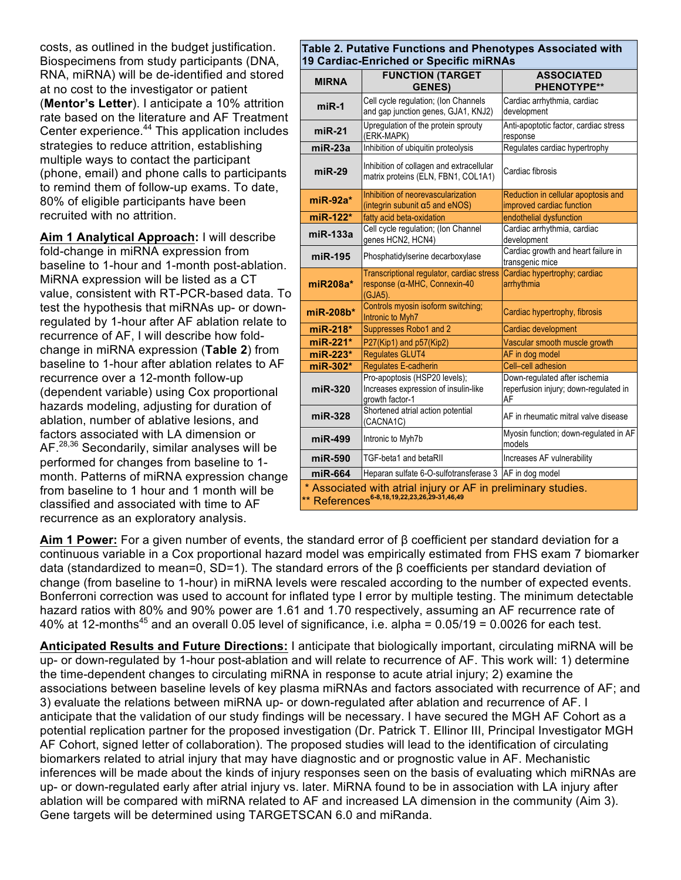costs, as outlined in the budget justification. Biospecimens from study participants (DNA, RNA, miRNA) will be de-identified and stored at no cost to the investigator or patient (**Mentor's Letter**). I anticipate a 10% attrition rate based on the literature and AF Treatment Center experience.<sup>44</sup> This application includes strategies to reduce attrition, establishing multiple ways to contact the participant (phone, email) and phone calls to participants to remind them of follow-up exams. To date, 80% of eligible participants have been recruited with no attrition.

**Aim 1 Analytical Approach:** I will describe fold-change in miRNA expression from baseline to 1-hour and 1-month post-ablation. MiRNA expression will be listed as a CT value, consistent with RT-PCR-based data. To test the hypothesis that miRNAs up- or downregulated by 1-hour after AF ablation relate to recurrence of AF, I will describe how foldchange in miRNA expression (**Table 2**) from baseline to 1-hour after ablation relates to AF recurrence over a 12-month follow-up (dependent variable) using Cox proportional hazards modeling, adjusting for duration of ablation, number of ablative lesions, and factors associated with LA dimension or AF.<sup>28,36</sup> Secondarily, similar analyses will be performed for changes from baseline to 1 month. Patterns of miRNA expression change from baseline to 1 hour and 1 month will be classified and associated with time to AF recurrence as an exploratory analysis.

| <b>MIRNA</b> | <b>FUNCTION (TARGET</b><br><b>GENES)</b>                                                      | <b>ASSOCIATED</b><br><b>PHENOTYPE**</b>                                      |
|--------------|-----------------------------------------------------------------------------------------------|------------------------------------------------------------------------------|
| $miR-1$      | Cell cycle regulation; (Ion Channels<br>and gap junction genes, GJA1, KNJ2)                   | Cardiac arrhythmia, cardiac<br>development                                   |
| $miR-21$     | Upregulation of the protein sprouty<br>(ERK-MAPK)                                             | Anti-apoptotic factor, cardiac stress<br>response                            |
| $miR-23a$    | Inhibition of ubiquitin proteolysis                                                           | Regulates cardiac hypertrophy                                                |
| $miR-29$     | Inhibition of collagen and extracellular<br>matrix proteins (ELN, FBN1, COL1A1)               | Cardiac fibrosis                                                             |
| $miR-92a*$   | Inhibition of neorevascularization<br>(integrin subunit $\alpha$ 5 and eNOS)                  | Reduction in cellular apoptosis and<br>improved cardiac function             |
| miR-122*     | fatty acid beta-oxidation                                                                     | endothelial dysfunction                                                      |
| $miR-133a$   | Cell cycle regulation; (Ion Channel<br>genes HCN2, HCN4)                                      | Cardiac arrhythmia, cardiac<br>development                                   |
| miR-195      | Phosphatidylserine decarboxylase                                                              | Cardiac growth and heart failure in<br>transgenic mice                       |
| $miR208a*$   | Transcriptional requlator, cardiac stress<br>response ( $\alpha$ -MHC, Connexin-40<br>(GJA5). | Cardiac hypertrophy; cardiac<br>arrhythmia                                   |
| $m$ iR-208b* | Controls myosin isoform switching;<br>Intronic to Myh7                                        | Cardiac hypertrophy, fibrosis                                                |
| miR-218*     | Suppresses Robo1 and 2                                                                        | Cardiac development                                                          |
| miR-221*     | P27(Kip1) and p57(Kip2)                                                                       | Vascular smooth muscle growth                                                |
| miR-223*     | <b>Regulates GLUT4</b>                                                                        | AF in dog model                                                              |
| miR-302*     | <b>Regulates E-cadherin</b>                                                                   | Cell-cell adhesion                                                           |
| miR-320      | Pro-apoptosis (HSP20 levels);<br>Increases expression of insulin-like<br>growth factor-1      | Down-regulated after ischemia<br>reperfusion injury; down-regulated in<br>AF |
| miR-328      | Shortened atrial action potential<br>(CACNA1C)                                                | AF in rheumatic mitral valve disease                                         |
| miR-499      | Intronic to Myh7b                                                                             | Myosin function; down-regulated in AF<br>models                              |
| miR-590      | TGF-beta1 and betaRll                                                                         | Increases AF vulnerability                                                   |
| miR-664      | Heparan sulfate 6-O-sulfotransferase 3   AF in dog model                                      |                                                                              |

**Aim 1 Power:** For a given number of events, the standard error of β coefficient per standard deviation for a continuous variable in a Cox proportional hazard model was empirically estimated from FHS exam 7 biomarker data (standardized to mean=0, SD=1). The standard errors of the β coefficients per standard deviation of change (from baseline to 1-hour) in miRNA levels were rescaled according to the number of expected events. Bonferroni correction was used to account for inflated type I error by multiple testing. The minimum detectable hazard ratios with 80% and 90% power are 1.61 and 1.70 respectively, assuming an AF recurrence rate of 40% at 12-months<sup>45</sup> and an overall 0.05 level of significance, i.e. alpha =  $0.05/19 = 0.0026$  for each test.

**Anticipated Results and Future Directions:** I anticipate that biologically important, circulating miRNA will be up- or down-regulated by 1-hour post-ablation and will relate to recurrence of AF. This work will: 1) determine the time-dependent changes to circulating miRNA in response to acute atrial injury; 2) examine the associations between baseline levels of key plasma miRNAs and factors associated with recurrence of AF; and 3) evaluate the relations between miRNA up- or down-regulated after ablation and recurrence of AF. I anticipate that the validation of our study findings will be necessary. I have secured the MGH AF Cohort as a potential replication partner for the proposed investigation (Dr. Patrick T. Ellinor III, Principal Investigator MGH AF Cohort, signed letter of collaboration). The proposed studies will lead to the identification of circulating biomarkers related to atrial injury that may have diagnostic and or prognostic value in AF. Mechanistic inferences will be made about the kinds of injury responses seen on the basis of evaluating which miRNAs are up- or down-regulated early after atrial injury vs. later. MiRNA found to be in association with LA injury after ablation will be compared with miRNA related to AF and increased LA dimension in the community (Aim 3). Gene targets will be determined using TARGETSCAN 6.0 and miRanda.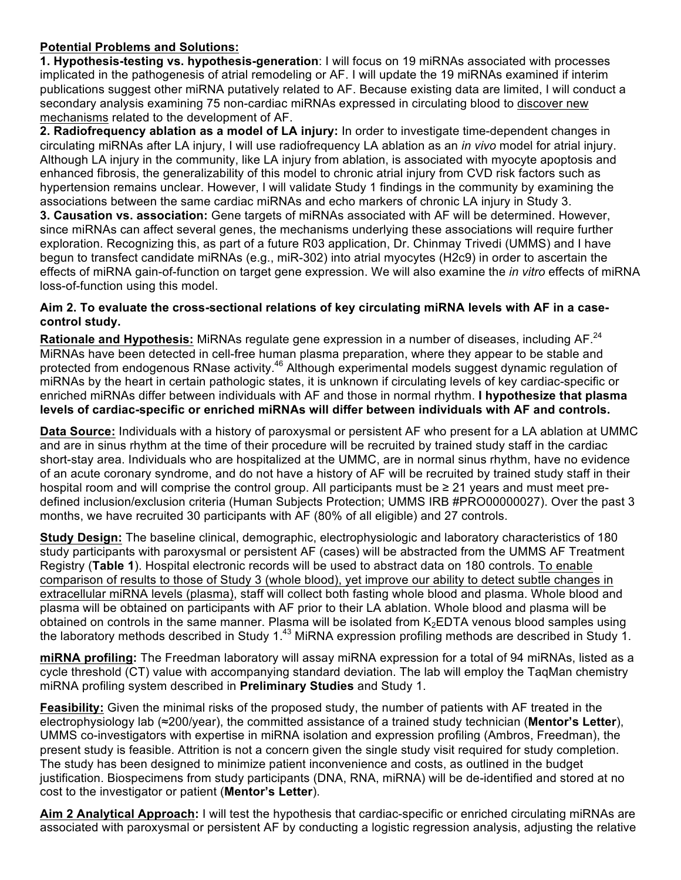## **Potential Problems and Solutions:**

**1. Hypothesis-testing vs. hypothesis-generation**: I will focus on 19 miRNAs associated with processes implicated in the pathogenesis of atrial remodeling or AF. I will update the 19 miRNAs examined if interim publications suggest other miRNA putatively related to AF. Because existing data are limited, I will conduct a secondary analysis examining 75 non-cardiac miRNAs expressed in circulating blood to discover new mechanisms related to the development of AF.

**2. Radiofrequency ablation as a model of LA injury:** In order to investigate time-dependent changes in circulating miRNAs after LA injury, I will use radiofrequency LA ablation as an *in vivo* model for atrial injury. Although LA injury in the community, like LA injury from ablation, is associated with myocyte apoptosis and enhanced fibrosis, the generalizability of this model to chronic atrial injury from CVD risk factors such as hypertension remains unclear. However, I will validate Study 1 findings in the community by examining the associations between the same cardiac miRNAs and echo markers of chronic LA injury in Study 3. **3. Causation vs. association:** Gene targets of miRNAs associated with AF will be determined. However, since miRNAs can affect several genes, the mechanisms underlying these associations will require further exploration. Recognizing this, as part of a future R03 application, Dr. Chinmay Trivedi (UMMS) and I have begun to transfect candidate miRNAs (e.g., miR-302) into atrial myocytes (H2c9) in order to ascertain the effects of miRNA gain-of-function on target gene expression. We will also examine the *in vitro* effects of miRNA loss-of-function using this model.

## **Aim 2. To evaluate the cross-sectional relations of key circulating miRNA levels with AF in a casecontrol study.**

Rationale and Hypothesis: MiRNAs regulate gene expression in a number of diseases, including AF.<sup>24</sup> MiRNAs have been detected in cell-free human plasma preparation, where they appear to be stable and protected from endogenous RNase activity.<sup>46</sup> Although experimental models suggest dynamic regulation of miRNAs by the heart in certain pathologic states, it is unknown if circulating levels of key cardiac-specific or enriched miRNAs differ between individuals with AF and those in normal rhythm. **I hypothesize that plasma levels of cardiac-specific or enriched miRNAs will differ between individuals with AF and controls.**

**Data Source:** Individuals with a history of paroxysmal or persistent AF who present for a LA ablation at UMMC and are in sinus rhythm at the time of their procedure will be recruited by trained study staff in the cardiac short-stay area. Individuals who are hospitalized at the UMMC, are in normal sinus rhythm, have no evidence of an acute coronary syndrome, and do not have a history of AF will be recruited by trained study staff in their hospital room and will comprise the control group. All participants must be  $\geq 21$  years and must meet predefined inclusion/exclusion criteria (Human Subjects Protection; UMMS IRB #PRO00000027). Over the past 3 months, we have recruited 30 participants with AF (80% of all eligible) and 27 controls.

**Study Design:** The baseline clinical, demographic, electrophysiologic and laboratory characteristics of 180 study participants with paroxysmal or persistent AF (cases) will be abstracted from the UMMS AF Treatment Registry (**Table 1**). Hospital electronic records will be used to abstract data on 180 controls. To enable comparison of results to those of Study 3 (whole blood), yet improve our ability to detect subtle changes in extracellular miRNA levels (plasma), staff will collect both fasting whole blood and plasma. Whole blood and plasma will be obtained on participants with AF prior to their LA ablation. Whole blood and plasma will be obtained on controls in the same manner. Plasma will be isolated from  $K<sub>2</sub>EDTA$  venous blood samples using the laboratory methods described in Study 1.<sup>43</sup> MiRNA expression profiling methods are described in Study 1.

**miRNA profiling:** The Freedman laboratory will assay miRNA expression for a total of 94 miRNAs, listed as a cycle threshold (CT) value with accompanying standard deviation. The lab will employ the TaqMan chemistry miRNA profiling system described in **Preliminary Studies** and Study 1.

**Feasibility:** Given the minimal risks of the proposed study, the number of patients with AF treated in the electrophysiology lab (≈200/year), the committed assistance of a trained study technician (**Mentor's Letter**), UMMS co-investigators with expertise in miRNA isolation and expression profiling (Ambros, Freedman), the present study is feasible. Attrition is not a concern given the single study visit required for study completion. The study has been designed to minimize patient inconvenience and costs, as outlined in the budget justification. Biospecimens from study participants (DNA, RNA, miRNA) will be de-identified and stored at no cost to the investigator or patient (**Mentor's Letter**).

**Aim 2 Analytical Approach:** I will test the hypothesis that cardiac-specific or enriched circulating miRNAs are associated with paroxysmal or persistent AF by conducting a logistic regression analysis, adjusting the relative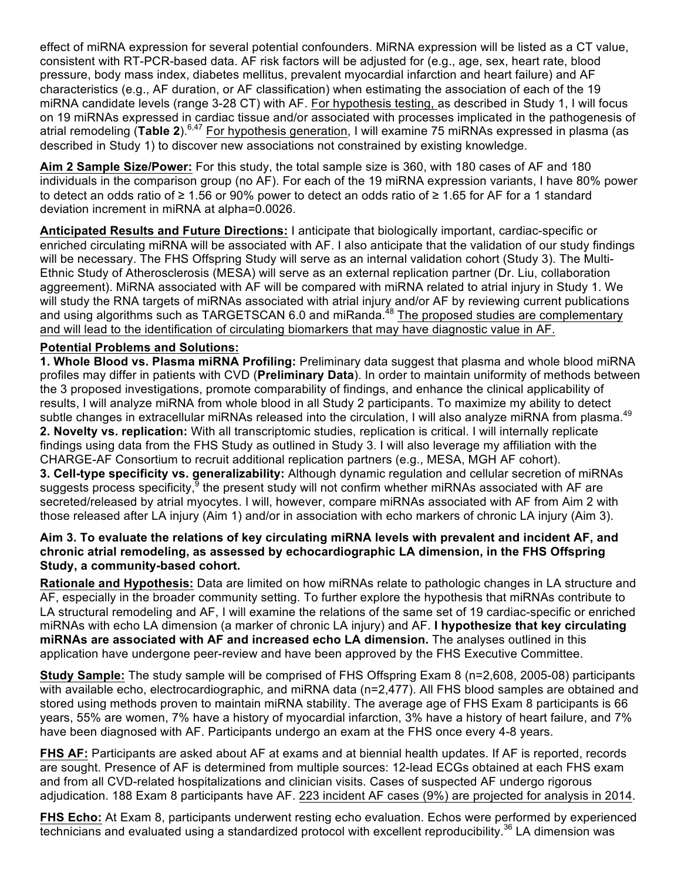effect of miRNA expression for several potential confounders. MiRNA expression will be listed as a CT value, consistent with RT-PCR-based data. AF risk factors will be adjusted for (e.g., age, sex, heart rate, blood pressure, body mass index, diabetes mellitus, prevalent myocardial infarction and heart failure) and AF characteristics (e.g., AF duration, or AF classification) when estimating the association of each of the 19 miRNA candidate levels (range 3-28 CT) with AF. For hypothesis testing, as described in Study 1, I will focus on 19 miRNAs expressed in cardiac tissue and/or associated with processes implicated in the pathogenesis of atrial remodeling (Table 2).<sup>6,47</sup> For hypothesis generation, I will examine 75 miRNAs expressed in plasma (as described in Study 1) to discover new associations not constrained by existing knowledge.

**Aim 2 Sample Size/Power:** For this study, the total sample size is 360, with 180 cases of AF and 180 individuals in the comparison group (no AF). For each of the 19 miRNA expression variants, I have 80% power to detect an odds ratio of ≥ 1.56 or 90% power to detect an odds ratio of ≥ 1.65 for AF for a 1 standard deviation increment in miRNA at alpha=0.0026.

**Anticipated Results and Future Directions:** I anticipate that biologically important, cardiac-specific or enriched circulating miRNA will be associated with AF. I also anticipate that the validation of our study findings will be necessary. The FHS Offspring Study will serve as an internal validation cohort (Study 3). The Multi-Ethnic Study of Atherosclerosis (MESA) will serve as an external replication partner (Dr. Liu, collaboration aggreement). MiRNA associated with AF will be compared with miRNA related to atrial injury in Study 1. We will study the RNA targets of miRNAs associated with atrial injury and/or AF by reviewing current publications and using algorithms such as TARGETSCAN 6.0 and miRanda.<sup>48</sup> The proposed studies are complementary and will lead to the identification of circulating biomarkers that may have diagnostic value in AF.

## **Potential Problems and Solutions:**

**1. Whole Blood vs. Plasma miRNA Profiling:** Preliminary data suggest that plasma and whole blood miRNA profiles may differ in patients with CVD (**Preliminary Data**). In order to maintain uniformity of methods between the 3 proposed investigations, promote comparability of findings, and enhance the clinical applicability of results, I will analyze miRNA from whole blood in all Study 2 participants. To maximize my ability to detect subtle changes in extracellular miRNAs released into the circulation, I will also analyze miRNA from plasma.<sup>49</sup> **2. Novelty vs. replication:** With all transcriptomic studies, replication is critical. I will internally replicate findings using data from the FHS Study as outlined in Study 3. I will also leverage my affiliation with the CHARGE-AF Consortium to recruit additional replication partners (e.g., MESA, MGH AF cohort). **3. Cell-type specificity vs. generalizability:** Although dynamic regulation and cellular secretion of miRNAs suggests process specificity,  $9$  the present study will not confirm whether miRNAs associated with AF are secreted/released by atrial myocytes. I will, however, compare miRNAs associated with AF from Aim 2 with those released after LA injury (Aim 1) and/or in association with echo markers of chronic LA injury (Aim 3).

## **Aim 3. To evaluate the relations of key circulating miRNA levels with prevalent and incident AF, and chronic atrial remodeling, as assessed by echocardiographic LA dimension, in the FHS Offspring Study, a community-based cohort.**

**Rationale and Hypothesis:** Data are limited on how miRNAs relate to pathologic changes in LA structure and AF, especially in the broader community setting. To further explore the hypothesis that miRNAs contribute to LA structural remodeling and AF, I will examine the relations of the same set of 19 cardiac-specific or enriched miRNAs with echo LA dimension (a marker of chronic LA injury) and AF. **I hypothesize that key circulating miRNAs are associated with AF and increased echo LA dimension.** The analyses outlined in this application have undergone peer-review and have been approved by the FHS Executive Committee.

**Study Sample:** The study sample will be comprised of FHS Offspring Exam 8 (n=2,608, 2005-08) participants with available echo, electrocardiographic, and miRNA data (n=2,477). All FHS blood samples are obtained and stored using methods proven to maintain miRNA stability. The average age of FHS Exam 8 participants is 66 years, 55% are women, 7% have a history of myocardial infarction, 3% have a history of heart failure, and 7% have been diagnosed with AF. Participants undergo an exam at the FHS once every 4-8 years.

**FHS AF:** Participants are asked about AF at exams and at biennial health updates. If AF is reported, records are sought. Presence of AF is determined from multiple sources: 12-lead ECGs obtained at each FHS exam and from all CVD-related hospitalizations and clinician visits. Cases of suspected AF undergo rigorous adjudication. 188 Exam 8 participants have AF. 223 incident AF cases (9%) are projected for analysis in 2014.

**FHS Echo:** At Exam 8, participants underwent resting echo evaluation. Echos were performed by experienced technicians and evaluated using a standardized protocol with excellent reproducibility.<sup>36</sup> LA dimension was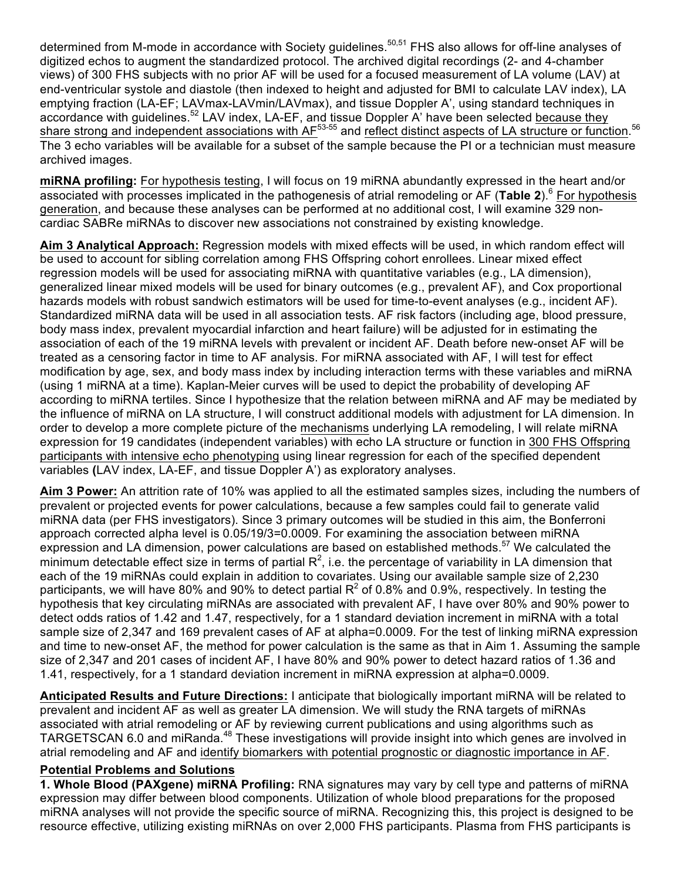determined from M-mode in accordance with Society quidelines.<sup>50,51</sup> FHS also allows for off-line analyses of digitized echos to augment the standardized protocol. The archived digital recordings (2- and 4-chamber views) of 300 FHS subjects with no prior AF will be used for a focused measurement of LA volume (LAV) at end-ventricular systole and diastole (then indexed to height and adjusted for BMI to calculate LAV index), LA emptying fraction (LA-EF; LAVmax-LAVmin/LAVmax), and tissue Doppler A', using standard techniques in accordance with guidelines.<sup>52</sup> LAV index, LA-EF, and tissue Doppler A' have been selected because they share strong and independent associations with AF<sup>53-55</sup> and reflect distinct aspects of LA structure or function.<sup>56</sup> The 3 echo variables will be available for a subset of the sample because the PI or a technician must measure archived images.

**miRNA profiling:** For hypothesis testing, I will focus on 19 miRNA abundantly expressed in the heart and/or associated with processes implicated in the pathogenesis of atrial remodeling or AF (**Table 2**).<sup>6</sup> For hypothesis generation, and because these analyses can be performed at no additional cost, I will examine 329 noncardiac SABRe miRNAs to discover new associations not constrained by existing knowledge.

**Aim 3 Analytical Approach:** Regression models with mixed effects will be used, in which random effect will be used to account for sibling correlation among FHS Offspring cohort enrollees. Linear mixed effect regression models will be used for associating miRNA with quantitative variables (e.g., LA dimension), generalized linear mixed models will be used for binary outcomes (e.g., prevalent AF), and Cox proportional hazards models with robust sandwich estimators will be used for time-to-event analyses (e.g., incident AF). Standardized miRNA data will be used in all association tests. AF risk factors (including age, blood pressure, body mass index, prevalent myocardial infarction and heart failure) will be adjusted for in estimating the association of each of the 19 miRNA levels with prevalent or incident AF. Death before new-onset AF will be treated as a censoring factor in time to AF analysis. For miRNA associated with AF, I will test for effect modification by age, sex, and body mass index by including interaction terms with these variables and miRNA (using 1 miRNA at a time). Kaplan-Meier curves will be used to depict the probability of developing AF according to miRNA tertiles. Since I hypothesize that the relation between miRNA and AF may be mediated by the influence of miRNA on LA structure, I will construct additional models with adjustment for LA dimension. In order to develop a more complete picture of the mechanisms underlying LA remodeling, I will relate miRNA expression for 19 candidates (independent variables) with echo LA structure or function in 300 FHS Offspring participants with intensive echo phenotyping using linear regression for each of the specified dependent variables **(**LAV index, LA-EF, and tissue Doppler A') as exploratory analyses.

**Aim 3 Power:** An attrition rate of 10% was applied to all the estimated samples sizes, including the numbers of prevalent or projected events for power calculations, because a few samples could fail to generate valid miRNA data (per FHS investigators). Since 3 primary outcomes will be studied in this aim, the Bonferroni approach corrected alpha level is 0.05/19/3=0.0009. For examining the association between miRNA expression and LA dimension, power calculations are based on established methods.<sup>57</sup> We calculated the minimum detectable effect size in terms of partial  $R^2$ , i.e. the percentage of variability in LA dimension that each of the 19 miRNAs could explain in addition to covariates. Using our available sample size of 2,230 participants, we will have 80% and 90% to detect partial  $R^2$  of 0.8% and 0.9%, respectively. In testing the hypothesis that key circulating miRNAs are associated with prevalent AF, I have over 80% and 90% power to detect odds ratios of 1.42 and 1.47, respectively, for a 1 standard deviation increment in miRNA with a total sample size of 2,347 and 169 prevalent cases of AF at alpha=0.0009. For the test of linking miRNA expression and time to new-onset AF, the method for power calculation is the same as that in Aim 1. Assuming the sample size of 2,347 and 201 cases of incident AF, I have 80% and 90% power to detect hazard ratios of 1.36 and 1.41, respectively, for a 1 standard deviation increment in miRNA expression at alpha=0.0009.

**Anticipated Results and Future Directions:** I anticipate that biologically important miRNA will be related to prevalent and incident AF as well as greater LA dimension. We will study the RNA targets of miRNAs associated with atrial remodeling or AF by reviewing current publications and using algorithms such as TARGETSCAN 6.0 and miRanda.<sup>48</sup> These investigations will provide insight into which genes are involved in atrial remodeling and AF and identify biomarkers with potential prognostic or diagnostic importance in AF.

# **Potential Problems and Solutions**

**1. Whole Blood (PAXgene) miRNA Profiling:** RNA signatures may vary by cell type and patterns of miRNA expression may differ between blood components. Utilization of whole blood preparations for the proposed miRNA analyses will not provide the specific source of miRNA. Recognizing this, this project is designed to be resource effective, utilizing existing miRNAs on over 2,000 FHS participants. Plasma from FHS participants is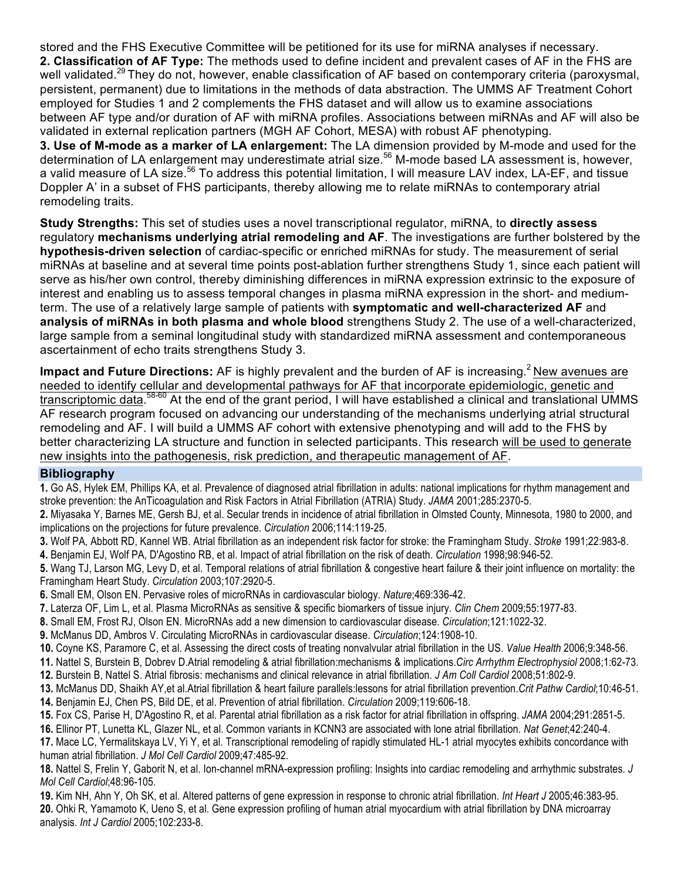stored and the FHS Executive Committee will be petitioned for its use for miRNA analyses if necessary. **2. Classification of AF Type:** The methods used to define incident and prevalent cases of AF in the FHS are well validated.<sup>29</sup> They do not, however, enable classification of AF based on contemporary criteria (paroxysmal, persistent, permanent) due to limitations in the methods of data abstraction. The UMMS AF Treatment Cohort employed for Studies 1 and 2 complements the FHS dataset and will allow us to examine associations between AF type and/or duration of AF with miRNA profiles. Associations between miRNAs and AF will also be validated in external replication partners (MGH AF Cohort, MESA) with robust AF phenotyping.

**3. Use of M-mode as a marker of LA enlargement:** The LA dimension provided by M-mode and used for the determination of LA enlargement may underestimate atrial size.<sup>56</sup> M-mode based LA assessment is, however, a valid measure of LA size.<sup>56</sup> To address this potential limitation, I will measure LAV index, LA-EF, and tissue Doppler A' in a subset of FHS participants, thereby allowing me to relate miRNAs to contemporary atrial remodeling traits.

**Study Strengths:** This set of studies uses a novel transcriptional regulator, miRNA, to **directly assess** regulatory **mechanisms underlying atrial remodeling and AF**. The investigations are further bolstered by the **hypothesis-driven selection** of cardiac-specific or enriched miRNAs for study. The measurement of serial miRNAs at baseline and at several time points post-ablation further strengthens Study 1, since each patient will serve as his/her own control, thereby diminishing differences in miRNA expression extrinsic to the exposure of interest and enabling us to assess temporal changes in plasma miRNA expression in the short- and mediumterm. The use of a relatively large sample of patients with **symptomatic and well-characterized AF** and **analysis of miRNAs in both plasma and whole blood** strengthens Study 2. The use of a well-characterized, large sample from a seminal longitudinal study with standardized miRNA assessment and contemporaneous ascertainment of echo traits strengthens Study 3.

**Impact and Future Directions:** AF is highly prevalent and the burden of AF is increasing.<sup>2</sup> New avenues are needed to identify cellular and developmental pathways for AF that incorporate epidemiologic, genetic and transcriptomic data.<sup>58-60</sup> At the end of the grant period, I will have established a clinical and translational UMMS AF research program focused on advancing our understanding of the mechanisms underlying atrial structural remodeling and AF. I will build a UMMS AF cohort with extensive phenotyping and will add to the FHS by better characterizing LA structure and function in selected participants. This research will be used to generate new insights into the pathogenesis, risk prediction, and therapeutic management of AF.

#### **Bibliography**

**1.** Go AS, Hylek EM, Phillips KA, et al. Prevalence of diagnosed atrial fibrillation in adults: national implications for rhythm management and stroke prevention: the AnTicoagulation and Risk Factors in Atrial Fibrillation (ATRIA) Study. *JAMA* 2001;285:2370-5.

**2.** Miyasaka Y, Barnes ME, Gersh BJ, et al. Secular trends in incidence of atrial fibrillation in Olmsted County, Minnesota, 1980 to 2000, and implications on the projections for future prevalence. *Circulation* 2006;114:119-25.

**3.** Wolf PA, Abbott RD, Kannel WB. Atrial fibrillation as an independent risk factor for stroke: the Framingham Study. *Stroke* 1991;22:983-8. **4.** Benjamin EJ, Wolf PA, D'Agostino RB, et al. Impact of atrial fibrillation on the risk of death. *Circulation* 1998;98:946-52.

**5.** Wang TJ, Larson MG, Levy D, et al. Temporal relations of atrial fibrillation & congestive heart failure & their joint influence on mortality: the

Framingham Heart Study. *Circulation* 2003;107:2920-5.

**6.** Small EM, Olson EN. Pervasive roles of microRNAs in cardiovascular biology. *Nature*;469:336-42.

**7.** Laterza OF, Lim L, et al. Plasma MicroRNAs as sensitive & specific biomarkers of tissue injury. *Clin Chem* 2009;55:1977-83.

**8.** Small EM, Frost RJ, Olson EN. MicroRNAs add a new dimension to cardiovascular disease. *Circulation*;121:1022-32.

**9.** McManus DD, Ambros V. Circulating MicroRNAs in cardiovascular disease. *Circulation*;124:1908-10.

**10.** Coyne KS, Paramore C, et al. Assessing the direct costs of treating nonvalvular atrial fibrillation in the US. *Value Health* 2006;9:348-56.

**11.** Nattel S, Burstein B, Dobrev D.Atrial remodeling & atrial fibrillation:mechanisms & implications.*Circ Arrhythm Electrophysiol* 2008;1:62-73.

**12.** Burstein B, Nattel S. Atrial fibrosis: mechanisms and clinical relevance in atrial fibrillation. *J Am Coll Cardiol* 2008;51:802-9.

**13.** McManus DD, Shaikh AY,et al.Atrial fibrillation & heart failure parallels:lessons for atrial fibrillation prevention.*Crit Pathw Cardiol*;10:46-51. **14.** Benjamin EJ, Chen PS, Bild DE, et al. Prevention of atrial fibrillation. *Circulation* 2009;119:606-18.

**15.** Fox CS, Parise H, D'Agostino R, et al. Parental atrial fibrillation as a risk factor for atrial fibrillation in offspring. *JAMA* 2004;291:2851-5.

**16.** Ellinor PT, Lunetta KL, Glazer NL, et al. Common variants in KCNN3 are associated with lone atrial fibrillation. *Nat Genet*;42:240-4.

**17.** Mace LC, Yermalitskaya LV, Yi Y, et al. Transcriptional remodeling of rapidly stimulated HL-1 atrial myocytes exhibits concordance with human atrial fibrillation. *J Mol Cell Cardiol* 2009;47:485-92.

**18.** Nattel S, Frelin Y, Gaborit N, et al. Ion-channel mRNA-expression profiling: Insights into cardiac remodeling and arrhythmic substrates. *J Mol Cell Cardiol*;48:96-105.

**19.** Kim NH, Ahn Y, Oh SK, et al. Altered patterns of gene expression in response to chronic atrial fibrillation. *Int Heart J* 2005;46:383-95. **20.** Ohki R, Yamamoto K, Ueno S, et al. Gene expression profiling of human atrial myocardium with atrial fibrillation by DNA microarray analysis. *Int J Cardiol* 2005;102:233-8.